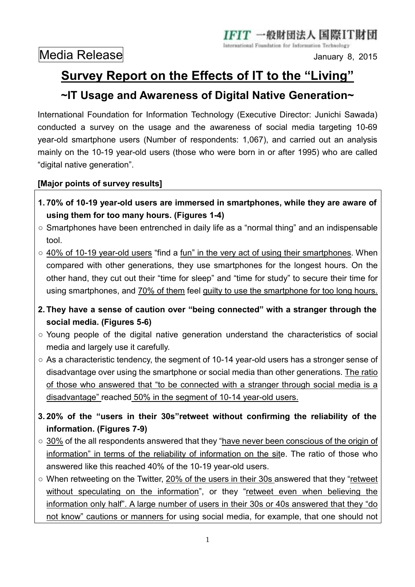-般財団法人 国際IT財団

International Foundation for Information Technology

## **Survey Report on the Effects of IT to the "Living"**

## **~IT Usage and Awareness of Digital Native Generation~**

International Foundation for Information Technology (Executive Director: Junichi Sawada) conducted a survey on the usage and the awareness of social media targeting 10-69 year-old smartphone users (Number of respondents: 1,067), and carried out an analysis mainly on the 10-19 year-old users (those who were born in or after 1995) who are called "digital native generation".

## **[Major points of survey results]**

- **1. 70% of 10-19 year-old users are immersed in smartphones, while they are aware of using them for too many hours. (Figures 1-4)**
- Smartphones have been entrenched in daily life as a "normal thing" and an indispensable tool.
- 40% of 10-19 year-old users "find a fun" in the very act of using their smartphones. When compared with other generations, they use smartphones for the longest hours. On the other hand, they cut out their "time for sleep" and "time for study" to secure their time for using smartphones, and 70% of them feel guilty to use the smartphone for too long hours.
- **2. They have a sense of caution over "being connected" with a stranger through the social media. (Figures 5-6)**
- Young people of the digital native generation understand the characteristics of social media and largely use it carefully.
- As a characteristic tendency, the segment of 10-14 year-old users has a stronger sense of disadvantage over using the smartphone or social media than other generations. The ratio of those who answered that "to be connected with a stranger through social media is a disadvantage" reached 50% in the segment of 10-14 year-old users.
- **3. 20% of the "users in their 30s"retweet without confirming the reliability of the information. (Figures 7-9)**
- 30% of the all respondents answered that they "have never been conscious of the origin of information" in terms of the reliability of information on the site. The ratio of those who answered like this reached 40% of the 10-19 year-old users.
- When retweeting on the Twitter, 20% of the users in their 30s answered that they "retweet without speculating on the information", or they "retweet even when believing the information only half". A large number of users in their 30s or 40s answered that they "do not know" cautions or manners for using social media, for example, that one should not